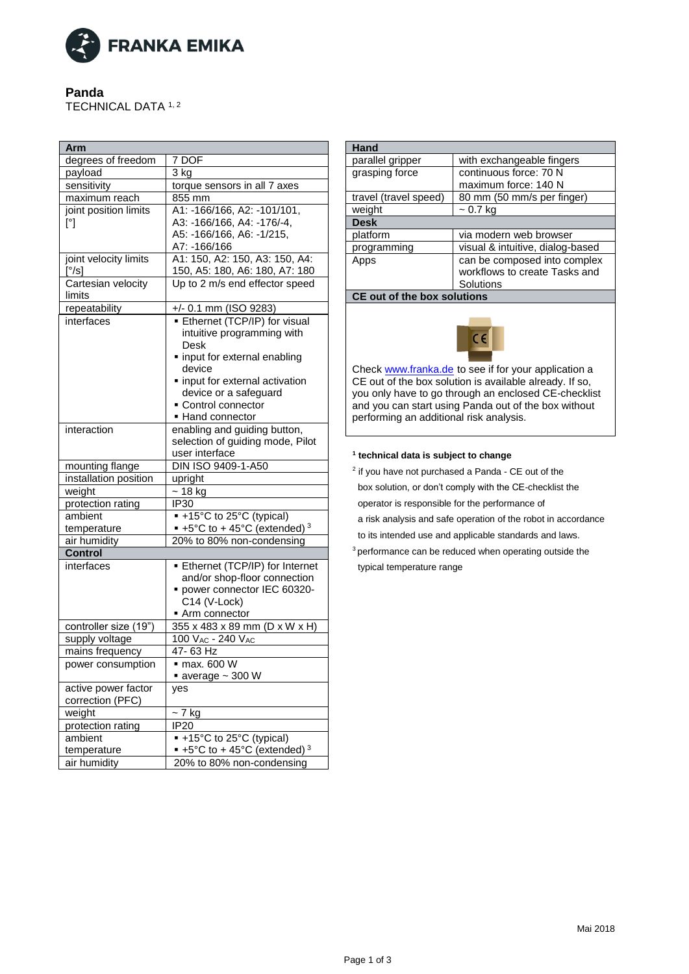

## **Panda**

TECHNICAL DATA 1, 2

| Arm                            |                                                  |
|--------------------------------|--------------------------------------------------|
| degrees of freedom             | 7 DOF                                            |
| payload                        | 3 kg                                             |
| sensitivity                    | torque sensors in all 7 axes                     |
| maximum reach                  | 855 mm                                           |
| joint position limits          | A1: -166/166, A2: -101/101,                      |
| $[^{\circ}]$                   | A3: -166/166, A4: -176/-4,                       |
|                                | A5: -166/166, A6: -1/215,                        |
|                                | A7: - 166/166                                    |
| joint velocity limits          | A1: 150, A2: 150, A3: 150, A4:                   |
| $\left[\frac{\circ}{s}\right]$ | 150, A5: 180, A6: 180, A7: 180                   |
| Cartesian velocity             | Up to 2 m/s end effector speed                   |
| limits                         |                                                  |
| repeatability                  | $+/- 0.1$ mm (ISO 9283)                          |
| interfaces                     | <b>Ethernet (TCP/IP) for visual</b>              |
|                                | intuitive programming with                       |
|                                | Desk                                             |
|                                | · input for external enabling                    |
|                                | device                                           |
|                                | · input for external activation                  |
|                                | device or a safeguard                            |
|                                | • Control connector                              |
|                                | • Hand connector                                 |
| interaction                    | enabling and guiding button,                     |
|                                | selection of guiding mode, Pilot                 |
|                                | user interface                                   |
| mounting flange                | DIN ISO 9409-1-A50                               |
| installation position          | upright                                          |
| weight                         | $~18$ kg                                         |
| protection rating              | IP30                                             |
| ambient                        | ■ +15°C to 25°C (typical)                        |
| temperature                    | $\bullet$ +5°C to + 45°C (extended) <sup>3</sup> |
| air humidity                   | 20% to 80% non-condensing                        |
| <b>Control</b>                 |                                                  |
| interfaces                     | Ethernet (TCP/IP) for Internet                   |
|                                | and/or shop-floor connection                     |
|                                | power connector IEC 60320-                       |
|                                | C14 (V-Lock)                                     |
|                                | Arm connector                                    |
| controller size (19")          | 355 x 483 x 89 mm (D x W x H)                    |
| supply voltage                 | 100 VAC - 240 VAC                                |
| mains frequency                | 47-63 Hz                                         |
| power consumption              | $\blacksquare$ max. 600 W                        |
|                                | $\blacksquare$ average ~ 300 W                   |
| active power factor            | yes                                              |
| correction (PFC)               |                                                  |
| weight                         | $~5$ 7 kg                                        |
| protection rating              | $\overline{IP}20$                                |
| ambient                        | ■ +15°C to 25°C (typical)                        |
| temperature                    | $\bullet$ +5°C to + 45°C (extended) <sup>3</sup> |
| air humidity                   | 20% to 80% non-condensing                        |

| Hand                               |                                                                                                                                                                                                                                 |
|------------------------------------|---------------------------------------------------------------------------------------------------------------------------------------------------------------------------------------------------------------------------------|
| parallel gripper                   | with exchangeable fingers                                                                                                                                                                                                       |
| grasping force                     | continuous force: 70 N                                                                                                                                                                                                          |
|                                    | maximum force: 140 N                                                                                                                                                                                                            |
| travel (travel speed)              | 80 mm (50 mm/s per finger)                                                                                                                                                                                                      |
| weight                             | ~ 0.7 kg                                                                                                                                                                                                                        |
| <b>Desk</b>                        |                                                                                                                                                                                                                                 |
| platform                           | via modern web browser                                                                                                                                                                                                          |
| programming                        | visual & intuitive, dialog-based                                                                                                                                                                                                |
| Apps                               | can be composed into complex                                                                                                                                                                                                    |
|                                    | workflows to create Tasks and                                                                                                                                                                                                   |
|                                    | Solutions                                                                                                                                                                                                                       |
| <b>CE out of the box solutions</b> |                                                                                                                                                                                                                                 |
| $\epsilon$                         |                                                                                                                                                                                                                                 |
|                                    | Check www.franka.de to see if for your application a<br>CE out of the box solution is available already. If so,<br>you only have to go through an enclosed CE-checklist<br>and you can start using Panda out of the box without |

## **1 technical data is subject to change**

performing an additional risk analysis.

<sup>2</sup> if you have not purchased a Panda - CE out of the

box solution, or don't comply with the CE-checklist the

operator is responsible for the performance of

 a risk analysis and safe operation of the robot in accordance to its intended use and applicable standards and laws.

<sup>3</sup> performance can be reduced when operating outside the typical temperature range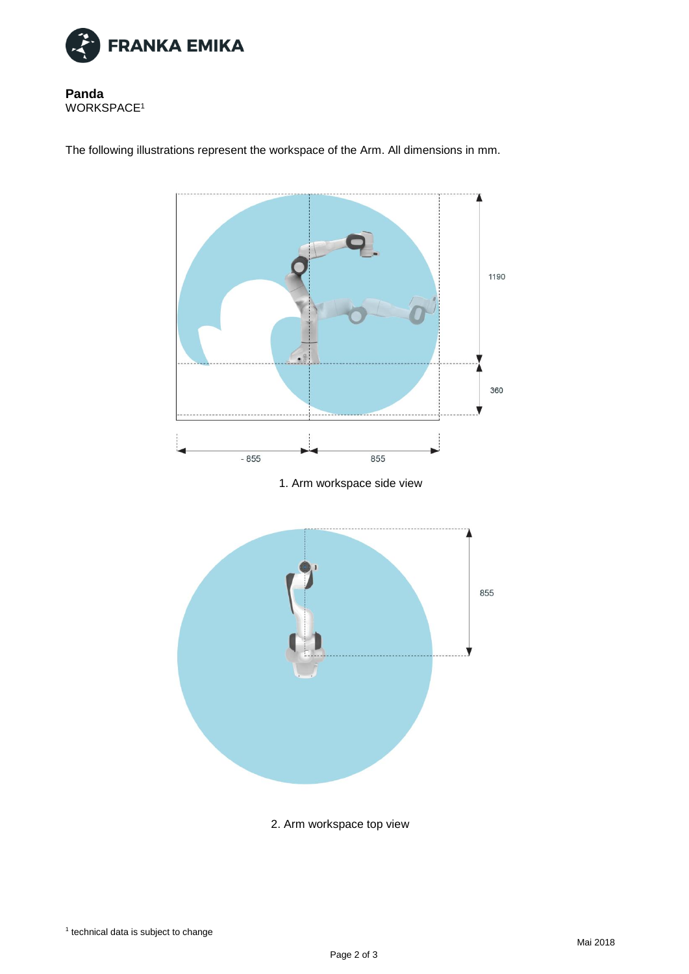

**Panda** WORKSPACE<sup>1</sup>

The following illustrations represent the workspace of the Arm. All dimensions in mm.



2. Arm workspace top view